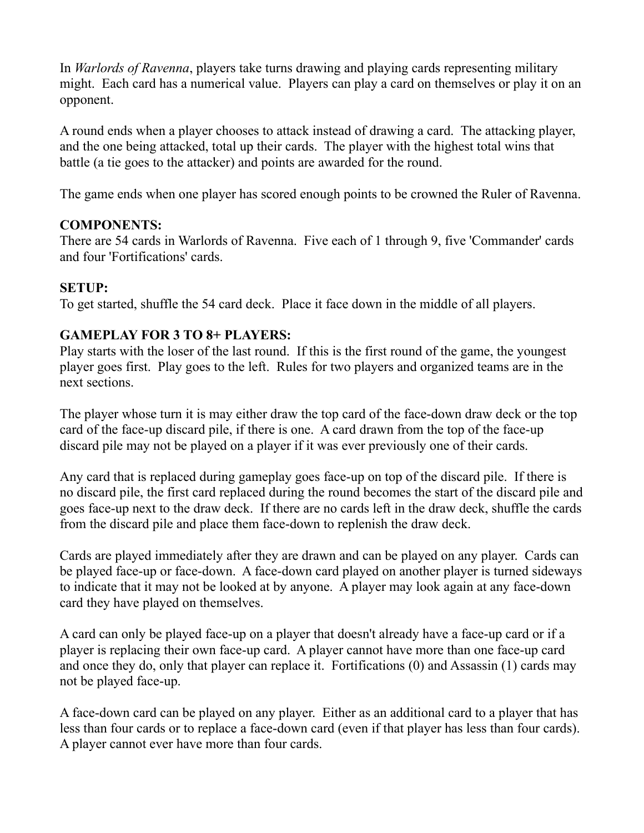In *Warlords of Ravenna*, players take turns drawing and playing cards representing military might. Each card has a numerical value. Players can play a card on themselves or play it on an opponent.

A round ends when a player chooses to attack instead of drawing a card. The attacking player, and the one being attacked, total up their cards. The player with the highest total wins that battle (a tie goes to the attacker) and points are awarded for the round.

The game ends when one player has scored enough points to be crowned the Ruler of Ravenna.

### **COMPONENTS:**

There are 54 cards in Warlords of Ravenna. Five each of 1 through 9, five 'Commander' cards and four 'Fortifications' cards.

### **SETUP:**

To get started, shuffle the 54 card deck. Place it face down in the middle of all players.

### **GAMEPLAY FOR 3 TO 8+ PLAYERS:**

Play starts with the loser of the last round. If this is the first round of the game, the youngest player goes first. Play goes to the left. Rules for two players and organized teams are in the next sections.

The player whose turn it is may either draw the top card of the face-down draw deck or the top card of the face-up discard pile, if there is one. A card drawn from the top of the face-up discard pile may not be played on a player if it was ever previously one of their cards.

Any card that is replaced during gameplay goes face-up on top of the discard pile. If there is no discard pile, the first card replaced during the round becomes the start of the discard pile and goes face-up next to the draw deck. If there are no cards left in the draw deck, shuffle the cards from the discard pile and place them face-down to replenish the draw deck.

Cards are played immediately after they are drawn and can be played on any player. Cards can be played face-up or face-down. A face-down card played on another player is turned sideways to indicate that it may not be looked at by anyone. A player may look again at any face-down card they have played on themselves.

A card can only be played face-up on a player that doesn't already have a face-up card or if a player is replacing their own face-up card. A player cannot have more than one face-up card and once they do, only that player can replace it. Fortifications (0) and Assassin (1) cards may not be played face-up.

A face-down card can be played on any player. Either as an additional card to a player that has less than four cards or to replace a face-down card (even if that player has less than four cards). A player cannot ever have more than four cards.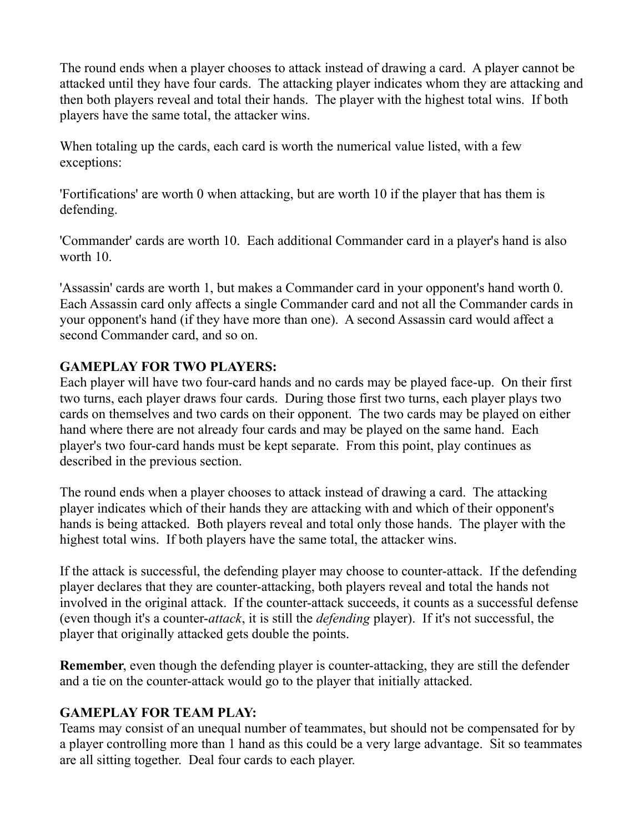The round ends when a player chooses to attack instead of drawing a card. A player cannot be attacked until they have four cards. The attacking player indicates whom they are attacking and then both players reveal and total their hands. The player with the highest total wins. If both players have the same total, the attacker wins.

When totaling up the cards, each card is worth the numerical value listed, with a few exceptions:

'Fortifications' are worth 0 when attacking, but are worth 10 if the player that has them is defending.

'Commander' cards are worth 10. Each additional Commander card in a player's hand is also worth 10.

'Assassin' cards are worth 1, but makes a Commander card in your opponent's hand worth 0. Each Assassin card only affects a single Commander card and not all the Commander cards in your opponent's hand (if they have more than one). A second Assassin card would affect a second Commander card, and so on.

# **GAMEPLAY FOR TWO PLAYERS:**

Each player will have two four-card hands and no cards may be played face-up. On their first two turns, each player draws four cards. During those first two turns, each player plays two cards on themselves and two cards on their opponent. The two cards may be played on either hand where there are not already four cards and may be played on the same hand. Each player's two four-card hands must be kept separate. From this point, play continues as described in the previous section.

The round ends when a player chooses to attack instead of drawing a card. The attacking player indicates which of their hands they are attacking with and which of their opponent's hands is being attacked. Both players reveal and total only those hands. The player with the highest total wins. If both players have the same total, the attacker wins.

If the attack is successful, the defending player may choose to counter-attack. If the defending player declares that they are counter-attacking, both players reveal and total the hands not involved in the original attack. If the counter-attack succeeds, it counts as a successful defense (even though it's a counter-*attack*, it is still the *defending* player). If it's not successful, the player that originally attacked gets double the points.

**Remember**, even though the defending player is counter-attacking, they are still the defender and a tie on the counter-attack would go to the player that initially attacked.

# **GAMEPLAY FOR TEAM PLAY:**

Teams may consist of an unequal number of teammates, but should not be compensated for by a player controlling more than 1 hand as this could be a very large advantage. Sit so teammates are all sitting together. Deal four cards to each player.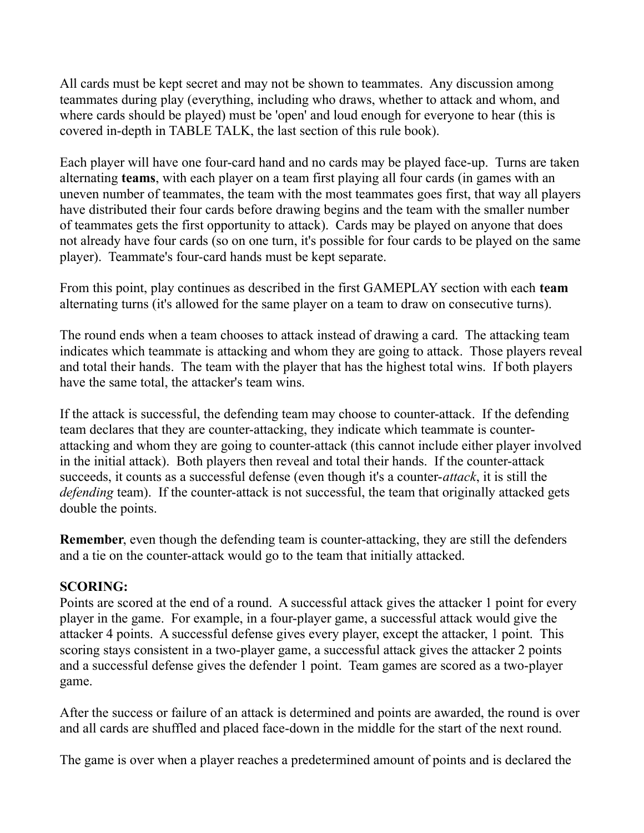All cards must be kept secret and may not be shown to teammates. Any discussion among teammates during play (everything, including who draws, whether to attack and whom, and where cards should be played) must be 'open' and loud enough for everyone to hear (this is covered in-depth in TABLE TALK, the last section of this rule book).

Each player will have one four-card hand and no cards may be played face-up. Turns are taken alternating **teams**, with each player on a team first playing all four cards (in games with an uneven number of teammates, the team with the most teammates goes first, that way all players have distributed their four cards before drawing begins and the team with the smaller number of teammates gets the first opportunity to attack). Cards may be played on anyone that does not already have four cards (so on one turn, it's possible for four cards to be played on the same player). Teammate's four-card hands must be kept separate.

From this point, play continues as described in the first GAMEPLAY section with each **team** alternating turns (it's allowed for the same player on a team to draw on consecutive turns).

The round ends when a team chooses to attack instead of drawing a card. The attacking team indicates which teammate is attacking and whom they are going to attack. Those players reveal and total their hands. The team with the player that has the highest total wins. If both players have the same total, the attacker's team wins.

If the attack is successful, the defending team may choose to counter-attack. If the defending team declares that they are counter-attacking, they indicate which teammate is counterattacking and whom they are going to counter-attack (this cannot include either player involved in the initial attack). Both players then reveal and total their hands. If the counter-attack succeeds, it counts as a successful defense (even though it's a counter-*attack*, it is still the *defending* team). If the counter-attack is not successful, the team that originally attacked gets double the points.

**Remember**, even though the defending team is counter-attacking, they are still the defenders and a tie on the counter-attack would go to the team that initially attacked.

### **SCORING:**

Points are scored at the end of a round. A successful attack gives the attacker 1 point for every player in the game. For example, in a four-player game, a successful attack would give the attacker 4 points. A successful defense gives every player, except the attacker, 1 point. This scoring stays consistent in a two-player game, a successful attack gives the attacker 2 points and a successful defense gives the defender 1 point. Team games are scored as a two-player game.

After the success or failure of an attack is determined and points are awarded, the round is over and all cards are shuffled and placed face-down in the middle for the start of the next round.

The game is over when a player reaches a predetermined amount of points and is declared the